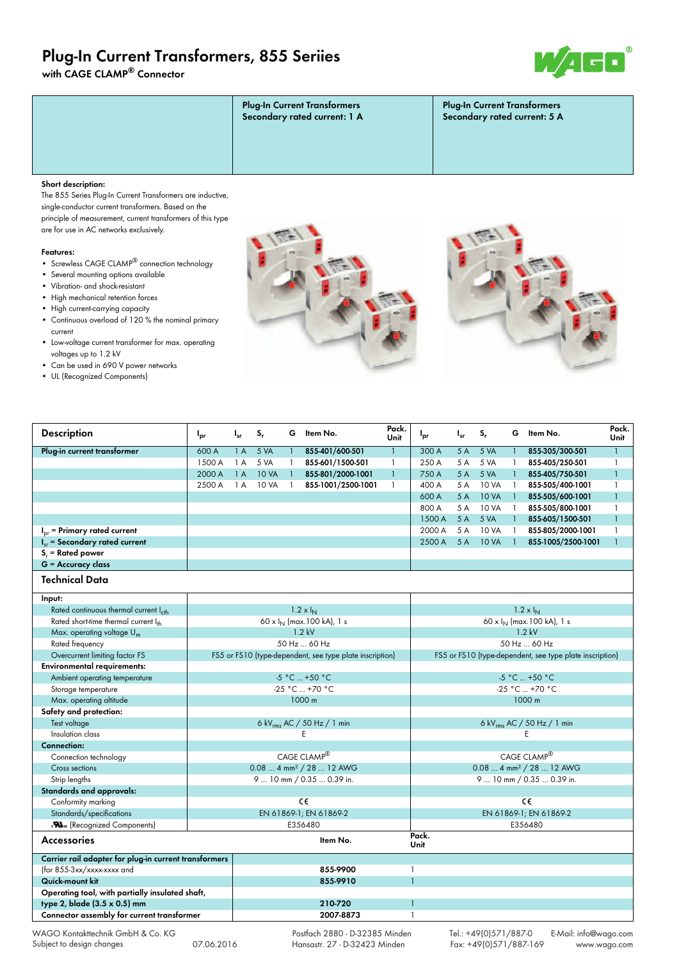# **Plug-In Current Transformers, 855 Seriies**

**with CAGE CLAMP® Connector**



| <b>Plug-In Current Transformers</b><br>Secondary rated current: 1 A | <b>Plug-In Current Transformers</b><br>Secondary rated current: 5 A |
|---------------------------------------------------------------------|---------------------------------------------------------------------|
|                                                                     |                                                                     |

### **Short description:**

The 855 Series Plug-In Current Transformers are inductive, single-conductor current transformers. Based on the principle of measurement, current transformers of this type are for use in AC networks exclusively.

#### **Features:**

- Screwless CAGE CLAMP® connection technology
- Several mounting options available
- Vibration- and shock-resistant
- High mechanical retention forces
- High current-carrying capacity
- Continuous overload of 120 % the nominal primary current
- Low-voltage current transformer for max. operating voltages up to 1.2 kV
- Can be used in 690 V power networks
- UL (Recognized Components)





| <b>Description</b>                                                                                                                                                                                                             | $I_{pr}$                               | $I_{sr}$                  | $S_r$                     | G.           | ltem No.                                                 | Pack.<br>Unit                          | l <sub>pr</sub>                                          | $I_{sr}$ | $S_r$        | G.             | Item No.                      | Pack.<br>Unit |  |  |
|--------------------------------------------------------------------------------------------------------------------------------------------------------------------------------------------------------------------------------|----------------------------------------|---------------------------|---------------------------|--------------|----------------------------------------------------------|----------------------------------------|----------------------------------------------------------|----------|--------------|----------------|-------------------------------|---------------|--|--|
| Plug-in current transformer                                                                                                                                                                                                    | 600 A                                  | 1A                        | 5 VA                      | $\mathbf{1}$ | 855-401/600-501                                          | $\mathbf{1}$                           | 300 A                                                    | 5A       | 5 VA         |                | 855-305/300-501               | $\mathbf{1}$  |  |  |
|                                                                                                                                                                                                                                | 1500 A                                 | 1 A                       | 5 VA                      | $\mathbf{1}$ | 855-601/1500-501                                         | $\mathbf{1}$                           | 250 A                                                    | 5 A      | 5 VA         | 1.             | 855-405/250-501               | $\mathbf{1}$  |  |  |
|                                                                                                                                                                                                                                | 2000 A                                 | 1A                        | <b>10 VA</b>              | $\mathbf{1}$ | 855-801/2000-1001                                        | $\mathbf{1}$                           | 750 A                                                    | 5A       | 5 VA         |                | 855-405/750-501               | $\mathbf{1}$  |  |  |
|                                                                                                                                                                                                                                | 2500 A                                 | 1A                        | <b>10 VA</b>              | $\mathbf{1}$ | 855-1001/2500-1001                                       | $\mathbf{1}$                           | 400 A                                                    | 5 A      | <b>10 VA</b> | $\overline{1}$ | 855-505/400-1001              | $\mathbf{1}$  |  |  |
|                                                                                                                                                                                                                                |                                        |                           |                           |              |                                                          |                                        | 600 A                                                    | 5A       | <b>10 VA</b> | $\mathbf{1}$   | 855-505/600-1001              | $\mathbf{1}$  |  |  |
|                                                                                                                                                                                                                                |                                        |                           |                           |              |                                                          |                                        | 800 A                                                    | 5 A      | <b>10 VA</b> |                | 855-505/800-1001              | $\mathbf{1}$  |  |  |
|                                                                                                                                                                                                                                |                                        |                           |                           |              |                                                          |                                        | 1500 A                                                   | 5A       | 5 VA         | $\mathbf{1}$   | 855-605/1500-501              | $\mathbf{1}$  |  |  |
| $Ior$ = Primary rated current                                                                                                                                                                                                  |                                        |                           |                           |              |                                                          |                                        | 2000 A                                                   | 5 A      | <b>10 VA</b> |                | 855-805/2000-1001             | $\mathbf{1}$  |  |  |
| $I_{sr}$ = Secondary rated current                                                                                                                                                                                             |                                        |                           |                           |              |                                                          |                                        | 2500 A                                                   | 5A       | <b>10 VA</b> |                | 855-1005/2500-1001            | $\mathbf{1}$  |  |  |
| $S_r$ = Rated power                                                                                                                                                                                                            |                                        |                           |                           |              |                                                          |                                        |                                                          |          |              |                |                               |               |  |  |
| $G =$ Accuracy class                                                                                                                                                                                                           |                                        |                           |                           |              |                                                          |                                        |                                                          |          |              |                |                               |               |  |  |
| Technical Data                                                                                                                                                                                                                 |                                        |                           |                           |              |                                                          |                                        |                                                          |          |              |                |                               |               |  |  |
| Input:                                                                                                                                                                                                                         |                                        |                           |                           |              |                                                          |                                        |                                                          |          |              |                |                               |               |  |  |
| Rated continuous thermal current I <sub>cth</sub>                                                                                                                                                                              |                                        |                           |                           |              | $1.2 \times I_{N}$                                       |                                        | $1.2 \times I_{\rm N}$                                   |          |              |                |                               |               |  |  |
| Rated short-time thermal current Ith                                                                                                                                                                                           |                                        |                           |                           |              | 60 x $I_N$ (max. 100 kA), 1 s                            |                                        |                                                          |          |              |                | 60 x $I_N$ (max. 100 kA), 1 s |               |  |  |
| Max. operating voltage $U_m$                                                                                                                                                                                                   |                                        | $1.2$ kV                  |                           |              |                                                          |                                        |                                                          | $1.2$ kV |              |                |                               |               |  |  |
| Rated frequency                                                                                                                                                                                                                |                                        |                           |                           |              | 50 Hz  60 Hz                                             |                                        | 50 Hz  60 Hz                                             |          |              |                |                               |               |  |  |
| Overcurrent limiting factor FS                                                                                                                                                                                                 |                                        |                           |                           |              | FS5 or FS10 (type-dependent, see type plate inscription) |                                        | FS5 or FS10 (type-dependent, see type plate inscription) |          |              |                |                               |               |  |  |
| <b>Environmental requirements:</b>                                                                                                                                                                                             |                                        |                           |                           |              |                                                          |                                        |                                                          |          |              |                |                               |               |  |  |
| Ambient operating temperature                                                                                                                                                                                                  | -5 °C  +50 °C                          |                           |                           |              |                                                          | -5 °C  +50 °C                          |                                                          |          |              |                |                               |               |  |  |
| Storage temperature                                                                                                                                                                                                            |                                        |                           |                           |              | -25 °C  +70 °C                                           |                                        | -25 °C  +70 °C                                           |          |              |                |                               |               |  |  |
| Max. operating altitude                                                                                                                                                                                                        | 1000 m                                 |                           |                           |              |                                                          |                                        | 1000 m                                                   |          |              |                |                               |               |  |  |
| Safety and protection:                                                                                                                                                                                                         |                                        |                           |                           |              |                                                          |                                        |                                                          |          |              |                |                               |               |  |  |
| Test voltage                                                                                                                                                                                                                   | 6 kV <sub>rms</sub> AC / 50 Hz / 1 min |                           |                           |              |                                                          | 6 kV <sub>rms</sub> AC / 50 Hz / 1 min |                                                          |          |              |                |                               |               |  |  |
| Insulation class                                                                                                                                                                                                               | E                                      |                           |                           |              |                                                          |                                        | E                                                        |          |              |                |                               |               |  |  |
| <b>Connection:</b>                                                                                                                                                                                                             |                                        |                           |                           |              |                                                          |                                        |                                                          |          |              |                |                               |               |  |  |
| Connection technology                                                                                                                                                                                                          |                                        |                           |                           |              | CAGE CLAMP®                                              |                                        |                                                          |          |              |                | CAGE CLAMP®                   |               |  |  |
| Cross sections                                                                                                                                                                                                                 | 0.08  4 mm <sup>2</sup> / 28  12 AWG   |                           |                           |              |                                                          |                                        | 0.08  4 mm <sup>2</sup> / 28  12 AWG                     |          |              |                |                               |               |  |  |
| Strip lengths                                                                                                                                                                                                                  |                                        | 9  10 mm / 0.35  0.39 in. | 9  10 mm / 0.35  0.39 in. |              |                                                          |                                        |                                                          |          |              |                |                               |               |  |  |
| Standards and approvals:                                                                                                                                                                                                       |                                        |                           |                           |              |                                                          |                                        |                                                          |          |              |                |                               |               |  |  |
| Conformity marking                                                                                                                                                                                                             |                                        |                           |                           |              | cc                                                       |                                        |                                                          |          |              |                | cc                            |               |  |  |
| Standards/specifications                                                                                                                                                                                                       |                                        |                           |                           |              | EN 61869-1; EN 61869-2                                   |                                        | EN 61869-1; EN 61869-2                                   |          |              |                |                               |               |  |  |
| <b>Na.</b> (Recognized Components)                                                                                                                                                                                             |                                        |                           |                           |              | E356480                                                  |                                        |                                                          |          |              |                | E356480                       |               |  |  |
| Accessories                                                                                                                                                                                                                    |                                        |                           |                           |              | Item No.                                                 |                                        | Pack.<br>Unit                                            |          |              |                |                               |               |  |  |
| Carrier rail adapter for plug-in current transformers                                                                                                                                                                          |                                        |                           |                           |              |                                                          |                                        |                                                          |          |              |                |                               |               |  |  |
| (for 855-3xx/xxxx-xxxx and                                                                                                                                                                                                     |                                        |                           |                           |              | 855-9900                                                 |                                        | $\mathbf{1}$                                             |          |              |                |                               |               |  |  |
| Quick-mount kit                                                                                                                                                                                                                |                                        |                           |                           |              | 855-9910                                                 |                                        |                                                          |          |              |                |                               |               |  |  |
| Operating tool, with partially insulated shaft,                                                                                                                                                                                |                                        |                           |                           |              |                                                          |                                        |                                                          |          |              |                |                               |               |  |  |
| type 2, blade (3.5 x 0.5) mm                                                                                                                                                                                                   |                                        |                           |                           |              | 210-720                                                  |                                        |                                                          |          |              |                |                               |               |  |  |
| Connector assembly for current transformer                                                                                                                                                                                     |                                        |                           |                           |              | 2007-8873                                                |                                        | $\mathbf{1}$                                             |          |              |                |                               |               |  |  |
| the contract of the contract of the contract of the contract of the contract of the contract of the contract of the contract of the contract of the contract of the contract of the contract of the contract of the contract o |                                        |                           |                           |              |                                                          |                                        |                                                          |          |              |                |                               |               |  |  |

WAGO Kontakttechnik GmbH & Co. KG Subject to design changes 07.06.2016

 Postfach 2880 - D-32385 Minden Hansastr. 27 - D-32423 Minden

Tel.: +49(0)571/887-0 E-Mail: info@wago.com<br>Fax: +49(0)571/887-169 www.wago.com  $Fax: +49(0)571/887-169$